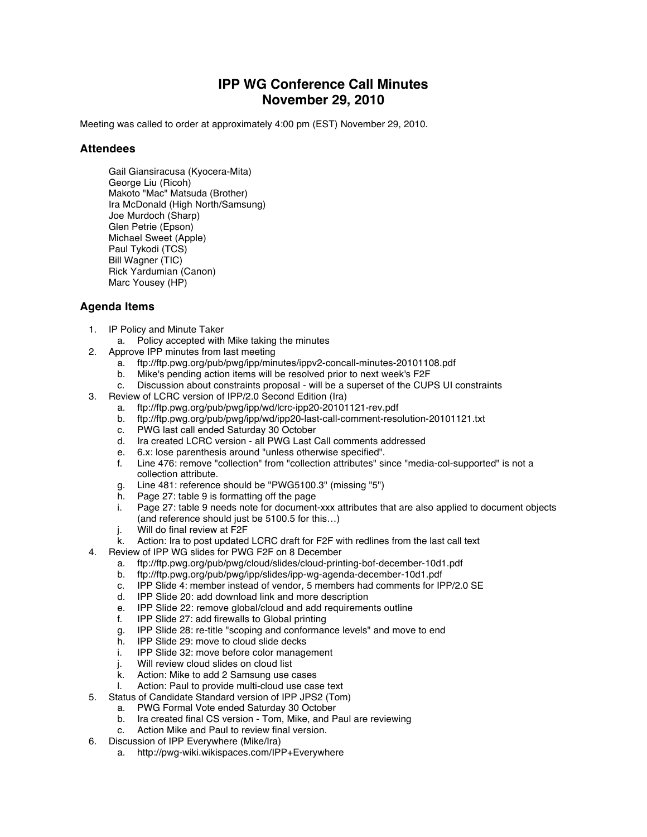## **IPP WG Conference Call Minutes November 29, 2010**

Meeting was called to order at approximately 4:00 pm (EST) November 29, 2010.

## **Attendees**

Gail Giansiracusa (Kyocera-Mita) George Liu (Ricoh) Makoto "Mac" Matsuda (Brother) Ira McDonald (High North/Samsung) Joe Murdoch (Sharp) Glen Petrie (Epson) Michael Sweet (Apple) Paul Tykodi (TCS) Bill Wagner (TIC) Rick Yardumian (Canon) Marc Yousey (HP)

## **Agenda Items**

- 1. IP Policy and Minute Taker
	- a. Policy accepted with Mike taking the minutes
- 2. Approve IPP minutes from last meeting
	- a. ftp://ftp.pwg.org/pub/pwg/ipp/minutes/ippv2-concall-minutes-20101108.pdf
	- b. Mike's pending action items will be resolved prior to next week's F2F
	- c. Discussion about constraints proposal will be a superset of the CUPS UI constraints
- 3. Review of LCRC version of IPP/2.0 Second Edition (Ira)
	- a. ftp://ftp.pwg.org/pub/pwg/ipp/wd/lcrc-ipp20-20101121-rev.pdf
	- b. ftp://ftp.pwg.org/pub/pwg/ipp/wd/ipp20-last-call-comment-resolution-20101121.txt
	- c. PWG last call ended Saturday 30 October<br>d. Ira created LCRC version all PWG Last 0
	- d. Ira created LCRC version all PWG Last Call comments addressed<br>e. 6.x: lose parenthesis around "unless otherwise specified".
	- 6.x: lose parenthesis around "unless otherwise specified".
	- f. Line 476: remove "collection" from "collection attributes" since "media-col-supported" is not a collection attribute.
	- g. Line 481: reference should be "PWG5100.3" (missing "5")
	- Page 27: table 9 is formatting off the page
	- i. Page 27: table 9 needs note for document-xxx attributes that are also applied to document objects (and reference should just be 5100.5 for this…)
	- j. Will do final review at F2F
	- k. Action: Ira to post updated LCRC draft for F2F with redlines from the last call text
- 4. Review of IPP WG slides for PWG F2F on 8 December
	- a. ftp://ftp.pwg.org/pub/pwg/cloud/slides/cloud-printing-bof-december-10d1.pdf
	- b. ftp://ftp.pwg.org/pub/pwg/ipp/slides/ipp-wg-agenda-december-10d1.pdf
	- c. IPP Slide 4: member instead of vendor, 5 members had comments for IPP/2.0 SE
	- d. IPP Slide 20: add download link and more description
	- e. IPP Slide 22: remove global/cloud and add requirements outline f. IPP Slide 27: add firewalls to Global printina
	- f. IPP Slide 27: add firewalls to Global printing
	- g. IPP Slide 28: re-title "scoping and conformance levels" and move to end
	- h. IPP Slide 29: move to cloud slide decks<br>i. IPP Slide 32: move before color manage
	- i. IPP Slide 32: move before color management
	- j. Will review cloud slides on cloud list
	- k. Action: Mike to add 2 Samsung use cases
	- l. Action: Paul to provide multi-cloud use case text
- 5. Status of Candidate Standard version of IPP JPS2 (Tom)
	- a. PWG Formal Vote ended Saturday 30 October
	- b. Ira created final CS version Tom, Mike, and Paul are reviewing c. Action Mike and Paul to review final version.
	- Action Mike and Paul to review final version.
- 6. Discussion of IPP Everywhere (Mike/Ira)
	- a. http://pwg-wiki.wikispaces.com/IPP+Everywhere